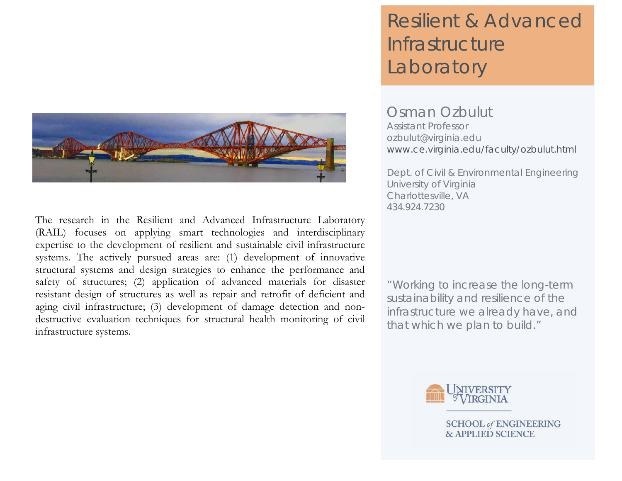

The research in the Resilient and Advanced Infrastructure Laboratory (RAIL) focuses on applying smart technologies and interdisciplinary expertise to the development of resilient and sustainable civil infrastructure systems. The actively pursued areas are: (1) development of innovative structural systems and design strategies to enhance the performance and safety of structures; (2) application of advanced materials for disaster resistant design of structures as well as repair and retrofit of deficient and aging civil infrastructure; (3) development of damage detection and nondestructive evaluation techniques for structural health monitoring of civil infrastructure systems.

# Resilient & Advanced **Infrastructure** Laboratory

Osman Ozbulut Assistant Professor ozbulut@virginia.edu www.ce.virginia.edu/faculty/ozbulut.html

Dept. of Civil & Environmental Engineering University of Virginia Charlottesville, VA 434.924.7230

"Working to increase the long-term sustainability and resilience of the infrastructure we already have, and that which we plan to build."



**SCHOOL of ENGINEERING & APPLIED SCIENCE**